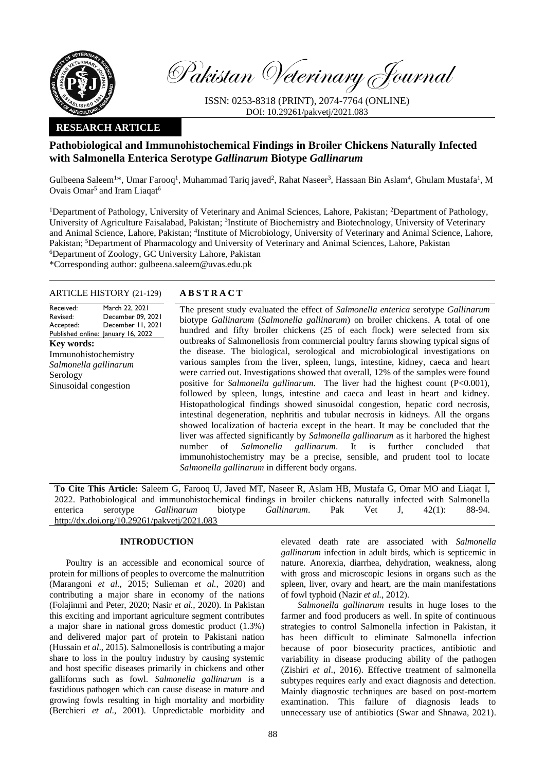

Pakistan Veterinary Journal

ISSN: 0253-8318 (PRINT), 2074-7764 (ONLINE) DOI: 10.29261/pakvetj/2021.083

## **RESEARCH ARTICLE**

# **Pathobiological and Immunohistochemical Findings in Broiler Chickens Naturally Infected with Salmonella Enterica Serotype** *Gallinarum* **Biotype** *Gallinarum*

Gulbeena Saleem<sup>1\*</sup>, Umar Farooq<sup>1</sup>, Muhammad Tariq javed<sup>2</sup>, Rahat Naseer<sup>3</sup>, Hassaan Bin Aslam<sup>4</sup>, Ghulam Mustafa<sup>1</sup>, M Ovais Omar<sup>5</sup> and Iram Liaqat<sup>6</sup>

<sup>1</sup>Department of Pathology, University of Veterinary and Animal Sciences, Lahore, Pakistan; <sup>2</sup>Department of Pathology, University of Agriculture Faisalabad, Pakistan; <sup>3</sup>Institute of Biochemistry and Biotechnology, University of Veterinary and Animal Science, Lahore, Pakistan; <sup>4</sup>Institute of Microbiology, University of Veterinary and Animal Science, Lahore, Pakistan; <sup>5</sup>Department of Pharmacology and University of Veterinary and Animal Sciences, Lahore, Pakistan <sup>6</sup>Department of Zoology, GC University Lahore, Pakistan \*Corresponding author: gulbeena.saleem@uvas.edu.pk

### ARTICLE HISTORY (21-129) **A B S T R A C T**

Received: Revised: Accepted: Published online: January 16, 2022 March 22, 2021 December 09, 2021 December 11, 2021 **Key words:**  Immunohistochemistry *Salmonella gallinarum* Serology Sinusoidal congestion

The present study evaluated the effect of *Salmonella enterica* serotype *Gallinarum* biotype *Gallinarum* (*Salmonella gallinarum*) on broiler chickens. A total of one hundred and fifty broiler chickens (25 of each flock) were selected from six outbreaks of Salmonellosis from commercial poultry farms showing typical signs of the disease. The biological, serological and microbiological investigations on various samples from the liver, spleen, lungs, intestine, kidney, caeca and heart were carried out. Investigations showed that overall, 12% of the samples were found positive for *Salmonella gallinarum.* The liver had the highest count (P<0.001), followed by spleen, lungs, intestine and caeca and least in heart and kidney. Histopathological findings showed sinusoidal congestion, hepatic cord necrosis, intestinal degeneration, nephritis and tubular necrosis in kidneys. All the organs showed localization of bacteria except in the heart. It may be concluded that the liver was affected significantly by *Salmonella gallinarum* as it harbored the highest number of *Salmonella gallinarum*. It is further concluded that immunohistochemistry may be a precise, sensible, and prudent tool to locate *Salmonella gallinarum* in different body organs.

**To Cite This Article:** Saleem G, Farooq U, Javed MT, Naseer R, Aslam HB, Mustafa G, Omar MO and Liaqat I, 2022. Pathobiological and immunohistochemical findings in broiler chickens naturally infected with Salmonella enterica serotype *Gallinarum* biotype *Gallinarum*. Pak Vet J, 42(1): 88-94. [http://dx.doi.org/10.29261/pakvetj/2021.083](http://pvj.com.pk/pdf-files/42_1/88-94.pdf) 

## **INTRODUCTION**

Poultry is an accessible and economical source of protein for millions of peoples to overcome the malnutrition (Marangoni *et al.,* 2015; Sulieman *et al.,* 2020) and contributing a major share in economy of the nations (Folajinmi and Peter, 2020; Nasir *et al.,* 2020). In Pakistan this exciting and important agriculture segment contributes a major share in national gross domestic product (1.3%) and delivered major part of protein to Pakistani nation (Hussain *et al*., 2015). Salmonellosis is contributing a major share to loss in the poultry industry by causing systemic and host specific diseases primarily in chickens and other galliforms such as fowl. *Salmonella gallinarum* is a fastidious pathogen which can cause disease in mature and growing fowls resulting in high mortality and morbidity (Berchieri *et al*., 2001). Unpredictable morbidity and

elevated death rate are associated with *Salmonella gallinarum* infection in adult birds, which is septicemic in nature. Anorexia, diarrhea, dehydration, weakness, along with gross and microscopic lesions in organs such as the spleen, liver, ovary and heart, are the main manifestations of fowl typhoid (Nazir *et al.*, 2012).

*Salmonella gallinarum* results in huge loses to the farmer and food producers as well. In spite of continuous strategies to control Salmonella infection in Pakistan, it has been difficult to eliminate Salmonella infection because of poor biosecurity practices, antibiotic and variability in disease producing ability of the pathogen (Zishiri *et al*., 2016). Effective treatment of salmonella subtypes requires early and exact diagnosis and detection. Mainly diagnostic techniques are based on post-mortem examination. This failure of diagnosis leads to unnecessary use of antibiotics (Swar and Shnawa, 2021).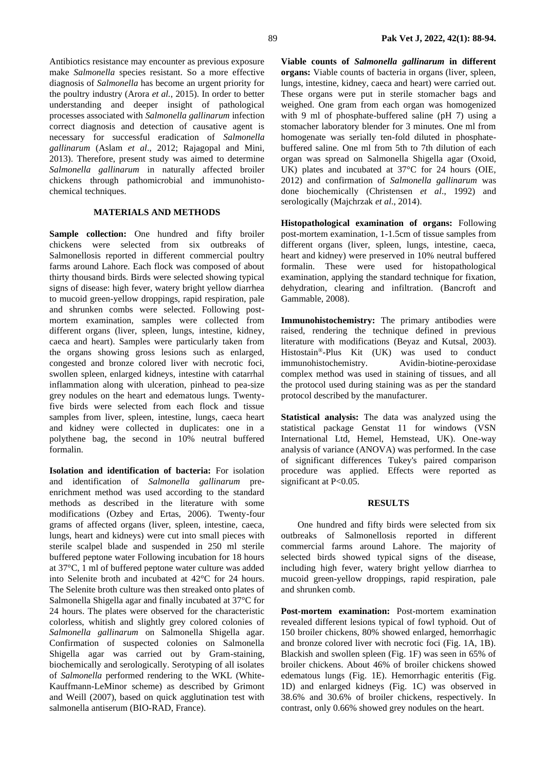Antibiotics resistance may encounter as previous exposure make *Salmonella* species resistant. So a more effective diagnosis of *Salmonella* has become an urgent priority for the poultry industry (Arora *et al.*, 2015). In order to better understanding and deeper insight of pathological processes associated with *Salmonella gallinarum* infection correct diagnosis and detection of causative agent is necessary for successful eradication of *Salmonella gallinarum* (Aslam *et al*., 2012; Rajagopal and Mini, 2013). Therefore, present study was aimed to determine *Salmonella gallinarum* in naturally affected broiler chickens through pathomicrobial and immunohistochemical techniques.

#### **MATERIALS AND METHODS**

**Sample collection:** One hundred and fifty broiler chickens were selected from six outbreaks of Salmonellosis reported in different commercial poultry farms around Lahore. Each flock was composed of about thirty thousand birds. Birds were selected showing typical signs of disease: high fever, watery bright yellow diarrhea to mucoid green-yellow droppings, rapid respiration, pale and shrunken combs were selected. Following postmortem examination, samples were collected from different organs (liver, spleen, lungs, intestine, kidney, caeca and heart). Samples were particularly taken from the organs showing gross lesions such as enlarged, congested and bronze colored liver with necrotic foci, swollen spleen, enlarged kidneys, intestine with catarrhal inflammation along with ulceration, pinhead to pea-size grey nodules on the heart and edematous lungs. Twentyfive birds were selected from each flock and tissue samples from liver, spleen, intestine, lungs, caeca heart and kidney were collected in duplicates: one in a polythene bag, the second in 10% neutral buffered formalin.

**Isolation and identification of bacteria:** For isolation and identification of *Salmonella gallinarum* preenrichment method was used according to the standard methods as described in the literature with some modifications (Ozbey and Ertas, 2006). Twenty-four grams of affected organs (liver, spleen, intestine, caeca, lungs, heart and kidneys) were cut into small pieces with sterile scalpel blade and suspended in 250 ml sterile buffered peptone water Following incubation for 18 hours at 37°C, 1 ml of buffered peptone water culture was added into Selenite broth and incubated at 42°C for 24 hours. The Selenite broth culture was then streaked onto plates of Salmonella Shigella agar and finally incubated at 37°C for 24 hours. The plates were observed for the characteristic colorless, whitish and slightly grey colored colonies of *Salmonella gallinarum* on Salmonella Shigella agar. Confirmation of suspected colonies on Salmonella Shigella agar was carried out by Gram-staining, biochemically and serologically. Serotyping of all isolates of *Salmonella* performed rendering to the WKL (White-Kauffmann-LeMinor scheme) as described by Grimont and Weill (2007), based on quick agglutination test with salmonella antiserum (BIO-RAD, France).

**Viable counts of** *Salmonella gallinarum* **in different organs:** Viable counts of bacteria in organs (liver, spleen, lungs, intestine, kidney, caeca and heart) were carried out. These organs were put in sterile stomacher bags and weighed. One gram from each organ was homogenized with 9 ml of phosphate-buffered saline (pH 7) using a stomacher laboratory blender for 3 minutes. One ml from homogenate was serially ten-fold diluted in phosphatebuffered saline. One ml from 5th to 7th dilution of each organ was spread on Salmonella Shigella agar (Oxoid, UK) plates and incubated at 37°C for 24 hours (OIE, 2012) and confirmation of *Salmonella gallinarum* was done biochemically (Christensen *et al*., 1992) and serologically (Majchrzak *et al*., 2014).

**Histopathological examination of organs:** Following post-mortem examination, 1-1.5cm of tissue samples from different organs (liver, spleen, lungs, intestine, caeca, heart and kidney) were preserved in 10% neutral buffered formalin. These were used for histopathological examination, applying the standard technique for fixation, dehydration, clearing and infiltration. (Bancroft and Gammable, 2008).

**Immunohistochemistry:** The primary antibodies were raised, rendering the technique defined in previous literature with modifications (Beyaz and Kutsal, 2003). Histostain®-Plus Kit (UK) was used to conduct immunohistochemistry. Avidin-biotine-peroxidase complex method was used in staining of tissues, and all the protocol used during staining was as per the standard protocol described by the manufacturer.

**Statistical analysis:** The data was analyzed using the statistical package Genstat 11 for windows (VSN International Ltd, Hemel, Hemstead, UK). One-way analysis of variance (ANOVA) was performed. In the case of significant differences Tukey's paired comparison procedure was applied. Effects were reported as significant at P<0.05.

#### **RESULTS**

One hundred and fifty birds were selected from six outbreaks of Salmonellosis reported in different commercial farms around Lahore. The majority of selected birds showed typical signs of the disease, including high fever, watery bright yellow diarrhea to mucoid green-yellow droppings, rapid respiration, pale and shrunken comb.

**Post-mortem examination:** Post-mortem examination revealed different lesions typical of fowl typhoid. Out of 150 broiler chickens, 80% showed enlarged, hemorrhagic and bronze colored liver with necrotic foci (Fig. 1A, 1B). Blackish and swollen spleen (Fig. 1F) was seen in 65% of broiler chickens. About 46% of broiler chickens showed edematous lungs (Fig. 1E). Hemorrhagic enteritis (Fig. 1D) and enlarged kidneys (Fig. 1C) was observed in 38.6% and 30.6% of broiler chickens, respectively. In contrast, only 0.66% showed grey nodules on the heart.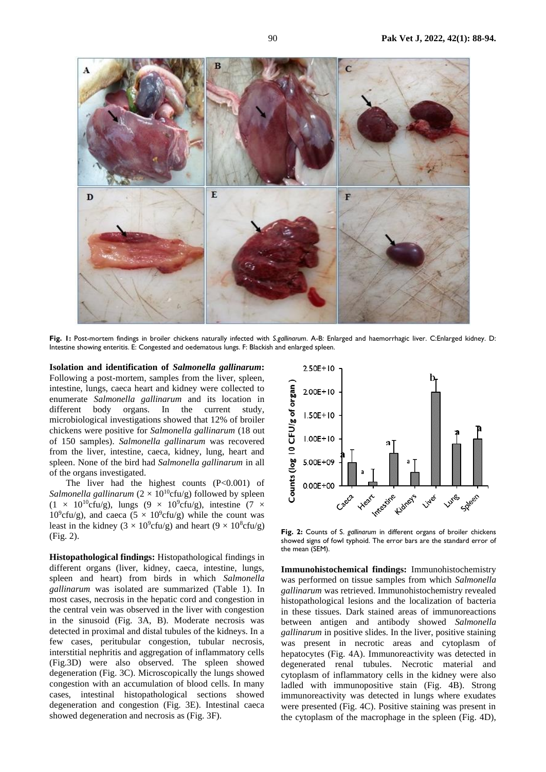

**Fig. 1:** Post-mortem findings in broiler chickens naturally infected with *S.gallinarum*. A-B: Enlarged and haemorrhagic liver. C:Enlarged kidney. D: Intestine showing enteritis. E: Congested and oedematous lungs. F: Blackish and enlarged spleen.

**Isolation and identification of** *Salmonella gallinarum***:**  Following a post-mortem, samples from the liver, spleen, intestine, lungs, caeca heart and kidney were collected to enumerate *Salmonella gallinarum* and its location in different body organs. In the current study, microbiological investigations showed that 12% of broiler chickens were positive for *Salmonella gallinarum* (18 out of 150 samples). *Salmonella gallinarum* was recovered from the liver, intestine, caeca, kidney, lung, heart and spleen. None of the bird had *Salmonella gallinarum* in all of the organs investigated.

The liver had the highest counts  $(P<0.001)$  of *Salmonella gallinarum*  $(2 \times 10^{10} \text{cfu/g})$  followed by spleen  $(1 \times 10^{10} \text{cftu/g})$ , lungs  $(9 \times 10^{9} \text{cftu/g})$ , intestine  $(7 \times 10^{10} \text{cftu/g})$  $10^9$ cfu/g), and caeca (5 × 10<sup>9</sup>cfu/g) while the count was least in the kidney  $(3 \times 10^9 \text{cftu/g})$  and heart  $(9 \times 10^8 \text{cftu/g})$ (Fig. 2).

**Histopathological findings:** Histopathological findings in different organs (liver, kidney, caeca, intestine, lungs, spleen and heart) from birds in which *Salmonella gallinarum* was isolated are summarized (Table 1). In most cases, necrosis in the hepatic cord and congestion in the central vein was observed in the liver with congestion in the sinusoid (Fig. 3A, B). Moderate necrosis was detected in proximal and distal tubules of the kidneys. In a few cases, peritubular congestion, tubular necrosis, interstitial nephritis and aggregation of inflammatory cells (Fig.3D) were also observed. The spleen showed degeneration (Fig. 3C). Microscopically the lungs showed congestion with an accumulation of blood cells. In many cases, intestinal histopathological sections showed degeneration and congestion (Fig. 3E). Intestinal caeca showed degeneration and necrosis as (Fig. 3F).



**Fig. 2:** Counts of S. *gallinarum* in different organs of broiler chickens showed signs of fowl typhoid. The error bars are the standard error of the mean (SEM).

**Immunohistochemical findings:** Immunohistochemistry was performed on tissue samples from which *Salmonella gallinarum* was retrieved. Immunohistochemistry revealed histopathological lesions and the localization of bacteria in these tissues. Dark stained areas of immunoreactions between antigen and antibody showed *Salmonella gallinarum* in positive slides. In the liver, positive staining was present in necrotic areas and cytoplasm of hepatocytes (Fig. 4A). Immunoreactivity was detected in degenerated renal tubules. Necrotic material and cytoplasm of inflammatory cells in the kidney were also ladled with immunopositive stain (Fig. 4B). Strong immunoreactivity was detected in lungs where exudates were presented (Fig. 4C). Positive staining was present in the cytoplasm of the macrophage in the spleen (Fig. 4D),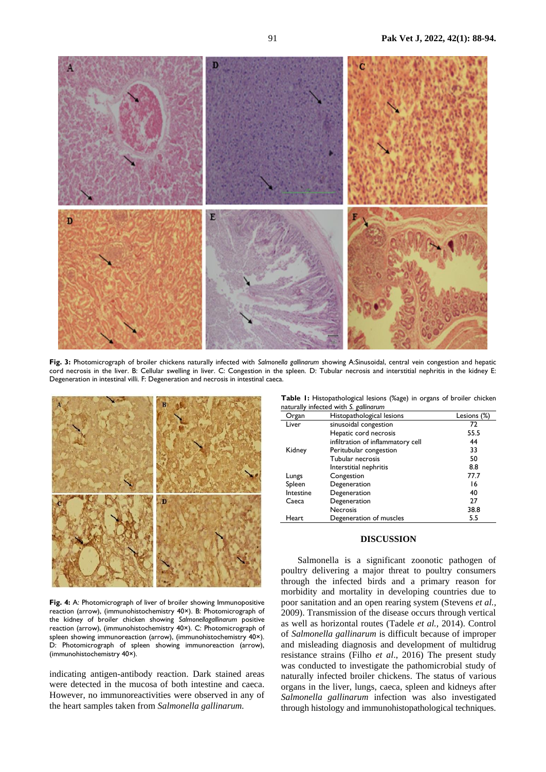

**Fig. 3:** Photomicrograph of broiler chickens naturally infected with *Salmonella gallinarum* showing A:Sinusoidal, central vein congestion and hepatic cord necrosis in the liver. B: Cellular swelling in liver. C: Congestion in the spleen. D: Tubular necrosis and interstitial nephritis in the kidney E: Degeneration in intestinal villi. F: Degeneration and necrosis in intestinal caeca.



**Fig. 4:** A: Photomicrograph of liver of broiler showing Immunopositive reaction (arrow), (immunohistochemistry 40×). B: Photomicrograph of the kidney of broiler chicken showing *Salmonellagallinarum* positive reaction (arrow), (immunohistochemistry 40×). C: Photomicrograph of spleen showing immunoreaction (arrow), (immunohistochemistry 40×). D: Photomicrograph of spleen showing immunoreaction (arrow), (immunohistochemistry 40×).

indicating antigen-antibody reaction. Dark stained areas were detected in the mucosa of both intestine and caeca. However, no immunoreactivities were observed in any of the heart samples taken from *Salmonella gallinarum.*

**Table 1:** Histopathological lesions (%age) in organs of broiler chicken naturally infected with *S. gallinarum*

| Organ     | Histopathological lesions         | Lesions (%) |
|-----------|-----------------------------------|-------------|
| Liver     | sinusoidal congestion             | 72          |
|           | Hepatic cord necrosis             | 55.5        |
|           | infiltration of inflammatory cell | 44          |
| Kidney    | Peritubular congestion            | 33          |
|           | Tubular necrosis                  | 50          |
|           | Interstitial nephritis            | 8.8         |
| Lungs     | Congestion                        | 77.7        |
| Spleen    | Degeneration                      | 16          |
| Intestine | Degeneration                      | 40          |
| Caeca     | Degeneration                      | 27          |
|           | <b>Necrosis</b>                   | 38.8        |
| Heart     | Degeneration of muscles           | 5.5         |

## **DISCUSSION**

Salmonella is a significant zoonotic pathogen of poultry delivering a major threat to poultry consumers through the infected birds and a primary reason for morbidity and mortality in developing countries due to poor sanitation and an open rearing system (Stevens *et al.,* 2009). Transmission of the disease occurs through vertical as well as horizontal routes (Tadele *et al.,* 2014). Control of *Salmonella gallinarum* is difficult because of improper and misleading diagnosis and development of multidrug resistance strains (Filho *et al*., 2016) The present study was conducted to investigate the pathomicrobial study of naturally infected broiler chickens. The status of various organs in the liver, lungs, caeca, spleen and kidneys after *Salmonella gallinarum* infection was also investigated through histology and immunohistopathological techniques.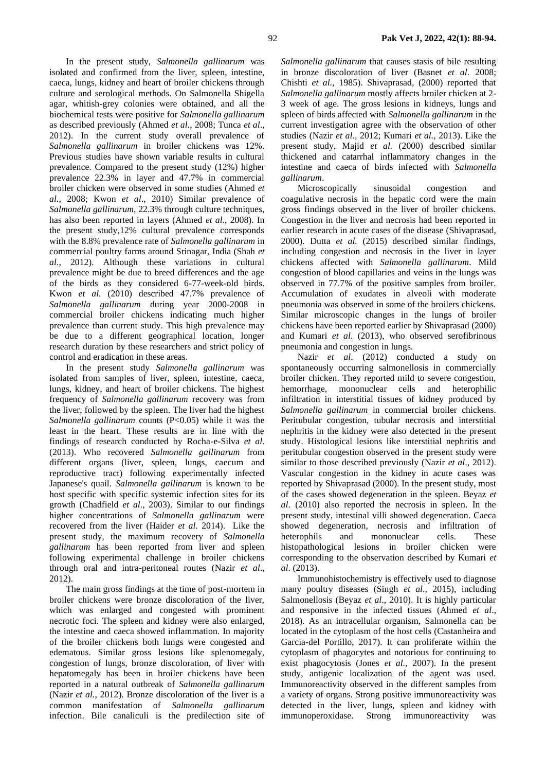In the present study, *Salmonella gallinarum* was isolated and confirmed from the liver, spleen, intestine, caeca, lungs, kidney and heart of broiler chickens through culture and serological methods. On Salmonella Shigella agar, whitish-grey colonies were obtained, and all the biochemical tests were positive for *Salmonella gallinarum* as described previously (Ahmed *et al*., 2008; Tunca *et al*., 2012). In the current study overall prevalence of *Salmonella gallinarum* in broiler chickens was 12%. Previous studies have shown variable results in cultural prevalence. Compared to the present study (12%) higher prevalence 22.3% in layer and 47.7% in commercial broiler chicken were observed in some studies (Ahmed *et al.*, 2008; Kwon *et al*., 2010) Similar prevalence of *Salmonella gallinarum,* 22.3% through culture techniques, has also been reported in layers (Ahmed *et al*., 2008). In the present study,12% cultural prevalence corresponds with the 8.8% prevalence rate of *Salmonella gallinarum* in commercial poultry farms around Srinagar, India (Shah *et al*., 2012). Although these variations in cultural prevalence might be due to breed differences and the age of the birds as they considered 6-77-week-old birds. Kwon *et al.* (2010) described 47.7% prevalence of *Salmonella gallinarum* during year 2000-2008 in commercial broiler chickens indicating much higher prevalence than current study. This high prevalence may be due to a different geographical location, longer research duration by these researchers and strict policy of control and eradication in these areas.

In the present study *Salmonella gallinarum* was isolated from samples of liver, spleen, intestine, caeca, lungs, kidney, and heart of broiler chickens. The highest frequency of *Salmonella gallinarum* recovery was from the liver, followed by the spleen. The liver had the highest *Salmonella gallinarum* counts (P<0.05) while it was the least in the heart. These results are in line with the findings of research conducted by Rocha-e-Silva *et al*. (2013). Who recovered *Salmonella gallinarum* from different organs (liver, spleen, lungs, caecum and reproductive tract) following experimentally infected Japanese's quail. *Salmonella gallinarum* is known to be host specific with specific systemic infection sites for its growth (Chadfield *et al*., 2003). Similar to our findings higher concentrations of *Salmonella gallinarum* were recovered from the liver (Haider *et al*. 2014). Like the present study, the maximum recovery of *Salmonella gallinarum* has been reported from liver and spleen following experimental challenge in broiler chickens through oral and intra-peritoneal routes (Nazir *et al*., 2012).

The main gross findings at the time of post-mortem in broiler chickens were bronze discoloration of the liver, which was enlarged and congested with prominent necrotic foci. The spleen and kidney were also enlarged, the intestine and caeca showed inflammation. In majority of the broiler chickens both lungs were congested and edematous. Similar gross lesions like splenomegaly, congestion of lungs, bronze discoloration, of liver with hepatomegaly has been in broiler chickens have been reported in a natural outbreak of *Salmonella gallinarum* (Nazir *et al.,* 2012). Bronze discoloration of the liver is a common manifestation of *Salmonella gallinarum*  infection. Bile canaliculi is the predilection site of

*Salmonella gallinarum* that causes stasis of bile resulting in bronze discoloration of liver (Basnet *et al*. 2008; Chishti *et al.,* 1985). Shivaprasad, (2000) reported that *Salmonella gallinarum* mostly affects broiler chicken at 2- 3 week of age. The gross lesions in kidneys, lungs and spleen of birds affected with *Salmonella gallinarum* in the current investigation agree with the observation of other studies (Nazir *et al.,* 2012; Kumari *et al.,* 2013). Like the present study, Majid *et al.* (2000) described similar thickened and catarrhal inflammatory changes in the intestine and caeca of birds infected with *Salmonella gallinarum*.

Microscopically sinusoidal congestion and coagulative necrosis in the hepatic cord were the main gross findings observed in the liver of broiler chickens. Congestion in the liver and necrosis had been reported in earlier research in acute cases of the disease (Shivaprasad, 2000). Dutta *et al.* (2015) described similar findings, including congestion and necrosis in the liver in layer chickens affected with *Salmonella gallinarum*. Mild congestion of blood capillaries and veins in the lungs was observed in 77.7% of the positive samples from broiler. Accumulation of exudates in alveoli with moderate pneumonia was observed in some of the broilers chickens. Similar microscopic changes in the lungs of broiler chickens have been reported earlier by Shivaprasad (2000) and Kumari *et al*. (2013), who observed serofibrinous pneumonia and congestion in lungs.

Nazir *et al*. (2012) conducted a study on spontaneously occurring salmonellosis in commercially broiler chicken. They reported mild to severe congestion, hemorrhage, mononuclear cells and heterophilic infiltration in interstitial tissues of kidney produced by *Salmonella gallinarum* in commercial broiler chickens. Peritubular congestion, tubular necrosis and interstitial nephritis in the kidney were also detected in the present study. Histological lesions like interstitial nephritis and peritubular congestion observed in the present study were similar to those described previously (Nazir *et al*., 2012). Vascular congestion in the kidney in acute cases was reported by Shivaprasad (2000). In the present study, most of the cases showed degeneration in the spleen. Beyaz *et al*. (2010) also reported the necrosis in spleen. In the present study, intestinal villi showed degeneration. Caeca showed degeneration, necrosis and infiltration of heterophils and mononuclear cells. These histopathological lesions in broiler chicken were corresponding to the observation described by Kumari *et al*. (2013).

Immunohistochemistry is effectively used to diagnose many poultry diseases (Singh *et al*., 2015), including Salmonellosis (Beyaz *et al*., 2010). It is highly particular and responsive in the infected tissues (Ahmed *et al*., 2018). As an intracellular organism, Salmonella can be located in the cytoplasm of the host cells (Castanheira and Garcia-del Portillo, 2017). It can proliferate within the cytoplasm of phagocytes and notorious for continuing to exist phagocytosis (Jones *et al.,* 2007). In the present study, antigenic localization of the agent was used. Immunoreactivity observed in the different samples from a variety of organs. Strong positive immunoreactivity was detected in the liver, lungs, spleen and kidney with immunoperoxidase. Strong immunoreactivity was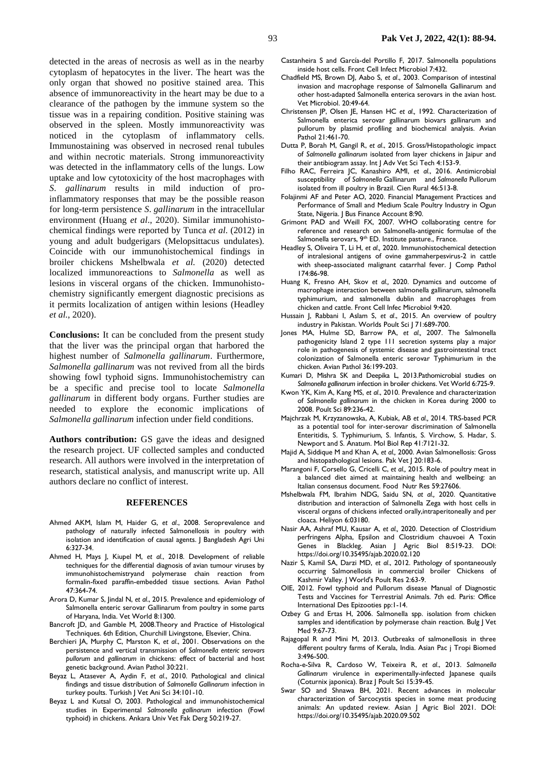detected in the areas of necrosis as well as in the nearby cytoplasm of hepatocytes in the liver. The heart was the only organ that showed no positive stained area. This absence of immunoreactivity in the heart may be due to a clearance of the pathogen by the immune system so the tissue was in a repairing condition. Positive staining was observed in the spleen. Mostly immunoreactivity was noticed in the cytoplasm of inflammatory cells. Immunostaining was observed in necrosed renal tubules and within necrotic materials. Strong immunoreactivity was detected in the inflammatory cells of the lungs. Low uptake and low cytotoxicity of the host macrophages with *S*. *gallinarum* results in mild induction of proinflammatory responses that may be the possible reason for long-term persistence *S*. *gallinarum* in the intracellular environment (Huang *et al*., 2020). Similar immunohistochemical findings were reported by Tunca *et al*. (2012) in young and adult budgerigars (Melopsittacus undulates). Coincide with our immunohistochemical findings in broiler chickens Mshelbwala *et al.* (2020) detected localized immunoreactions to *Salmonella* as well as lesions in visceral organs of the chicken. Immunohistochemistry significantly emergent diagnostic precisions as it permits localization of antigen within lesions (Headley *et al.*, 2020).

**Conclusions:** It can be concluded from the present study that the liver was the principal organ that harbored the highest number of *Salmonella gallinarum*. Furthermore, *Salmonella gallinarum* was not revived from all the birds showing fowl typhoid signs. Immunohistochemistry can be a specific and precise tool to locate *Salmonella gallinarum* in different body organs. Further studies are needed to explore the economic implications of *Salmonella gallinarum* infection under field conditions.

**Authors contribution:** GS gave the ideas and designed the research project. UF collected samples and conducted research. All authors were involved in the interpretation of research, statistical analysis, and manuscript write up. All authors declare no conflict of interest.

#### **REFERENCES**

- Ahmed AKM, Islam M, Haider G, *et al*., 2008. Seroprevalence and pathology of naturally infected Salmonellosis in poultry with isolation and identification of causal agents. J Bangladesh Agri Uni 6:327-34.
- Ahmed H, Mays J, Kiupel M, *et al*., 2018. Development of reliable techniques for the differential diagnosis of avian tumour viruses by immunohistochemistryand polymerase chain reaction from formalin-fixed paraffin-embedded tissue sections. Avian Pathol 47:364-74.
- Arora D, Kumar S, Jindal N, *et al*., 2015. Prevalence and epidemiology of Salmonella enteric serovar Gallinarum from poultry in some parts of Haryana, India. Vet World 8:1300.
- Bancroft JD, and Gamble M, 2008.Theory and Practice of Histological Techniques. 6th Edition, Churchill Livingstone, Elsevier, China.
- Berchieri JA, Murphy C, Marston K, *et al*., 2001. Observations on the persistence and vertical transmission of *Salmonella enteric serovars pullorum* and *gallinarum* in chickens: effect of bacterial and host genetic background. Avian Pathol 30:221.
- Beyaz L, Atasever A, Aydin F, *et al*., 2010. Pathological and clinical findings and tissue distribution of *Salmonella Gallinarum* infection in turkey poults. Turkish | Vet Ani Sci 34:101-10.
- Beyaz L and Kutsal O, 2003. Pathological and immunohistochemical studies in Experimental *Salmonella gallinarum* infection (Fowl typhoid) in chickens. Ankara Univ Vet Fak Derg 50:219-27.
- Castanheira S and García-del Portillo F, 2017. Salmonella populations inside host cells. Front Cell Infect Microbiol 7:432.
- Chadfield MS, Brown DJ, Aabo S, *et al*., 2003. Comparison of intestinal invasion and macrophage response of Salmonella Gallinarum and other host-adapted Salmonella enterica serovars in the avian host. Vet Microbiol. 20:49-64.
- Christensen JP, Olsen JE, Hansen HC *et al.,* 1992. Characterization of Salmonella enterica serovar gallinarum biovars gallinarum and pullorum by plasmid profiling and biochemical analysis. Avian Pathol 21:461-70.
- Dutta P, Borah M, Gangil R, *et al*., 2015. Gross/Histopathologic impact of *Salmonella gallinarum* isolated from layer chickens in Jaipur and their antibiogram assay. Int J Adv Vet Sci Tech 4:153-9.
- Filho RAC, Ferreira JC, Kanashiro AMI, *et al*., 2016. Antimicrobial susceptibility of *Salmonella* Gallinarum and *Salmonella* Pullorum isolated from ill poultry in Brazil. Cien Rural 46:513-8.
- Folajinmi AF and Peter AO, 2020. Financial Management Practices and Performance of Small and Medium Scale Poultry Industry in Ogun State, Nigeria. J Bus Finance Account 8:90.
- Grimont PAD and Weill FX, 2007. WHO collaborating centre for reference and research on Salmonella-antigenic formulae of the Salmonella serovars, 9<sup>th</sup> ED. Institute pasture., France.
- Headley S, Oliveira T, Li H, *et al.,* 2020. Immunohistochemical detection of intralesional antigens of ovine gammaherpesvirus-2 in cattle with sheep-associated malignant catarrhal fever. J Comp Pathol 174:86-98.
- Huang K, Fresno AH, Skov *et al.,* 2020. Dynamics and outcome of macrophage interaction between salmonella gallinarum, salmonella typhimurium, and salmonella dublin and macrophages from chicken and cattle. Front Cell Infec Microbiol 9:420.
- Hussain J, Rabbani I, Aslam S, *et al*., 2015. An overview of poultry industry in Pakistan. Worlds Poult Sci J 71:689-700.
- Jones MA, Hulme SD, Barrow PA, *et al.,* 2007. The Salmonella pathogenicity Island 2 type 111 secretion systems play a major role in pathogenesis of systemic disease and gastrointestinal tract colonization of Salmonella enteric serovar Typhimurium in the chicken. Avian Pathol 36:199-203.
- Kumari D, Mishra SK and Deepika L, 2013.Pathomicrobial studies on *Salmonella gallinarum* infection in broiler chickens. Vet World 6:725-9.
- Kwon YK, Kim A, Kang MS, *et al*., 2010. Prevalence and characterization of *Salmonella gallinarum* in the chicken in Korea during 2000 to 2008. Poult Sci 89:236-42.
- Majchrzak M, Krzyzanowska, A, Kubiak, AB *et al.,* 2014. TRS-based PCR as a potential tool for inter-serovar discrimination of Salmonella Enteritidis, S. Typhimurium, S. Infantis, S. Virchow, S. Hadar, S. Newport and S. Anatum. Mol Biol Rep 41:7121-32.
- Majid A, Siddique M and Khan A, *et al.,* 2000. Avian Salmonellosis: Gross and histopathological lesions. Pak Vet J 20:183-6.
- Marangoni F, Corsello G, Cricelli C, *et al.,* 2015. Role of poultry meat in a balanced diet aimed at maintaining health and wellbeing: an Italian consensus document. Food Nutr Res 59:27606.
- Mshelbwala FM, Ibrahim NDG, Saidu SN, *at al.,* 2020. Quantitative distribution and interaction of Salmonella Zega with host cells in visceral organs of chickens infected orally,intraperitoneally and per cloaca. Heliyon 6:03180.
- Nasir AA, Ashraf MU, Kausar A, *et al.,* 2020. Detection of Clostridium perfringens Alpha, Epsilon and Clostridium chauvoei A Toxin Genes in Blackleg. Asian J Agric Biol 8:519-23. DOI: <https://doi.org/10.35495/ajab.2020.02.120>
- Nazir S, Kamil SA, Darzi MD, *et al*., 2012. Pathology of spontaneously occurring Salmonellosis in commercial broiler Chickens of Kashmir Valley. J World's Poult Res 2:63-9.
- OIE, 2012. Fowl typhoid and Pullorum disease Manual of Diagnostic Tests and Vaccines for Terrestrial Animals. 7th ed. Paris: Office International Des Epizooties pp:1-14.
- Ozbey G and Ertas H, 2006. Salmonella spp. isolation from chicken samples and identification by polymerase chain reaction. Bulg J Vet Med 9:67-73.
- Rajagopal R and Mini M, 2013. Outbreaks of salmonellosis in three different poultry farms of Kerala, India. Asian Pac j Tropi Biomed 3:496-500.
- Rocha-e-Silva R, Cardoso W, Teixeira R, *et al*., 2013. *Salmonella Gallinarum* virulence in experimentally-infected Japanese quails (Coturnix japonica). Braz J Poult Sci 15:39-45.
- Swar SO and Shnawa BH, 2021. Recent advances in molecular characterization of Sarcocystis species in some meat producing animals: An updated review. Asian J Agric Biol 2021. DOI: https://doi.org/10.35495/ajab.2020.09.502